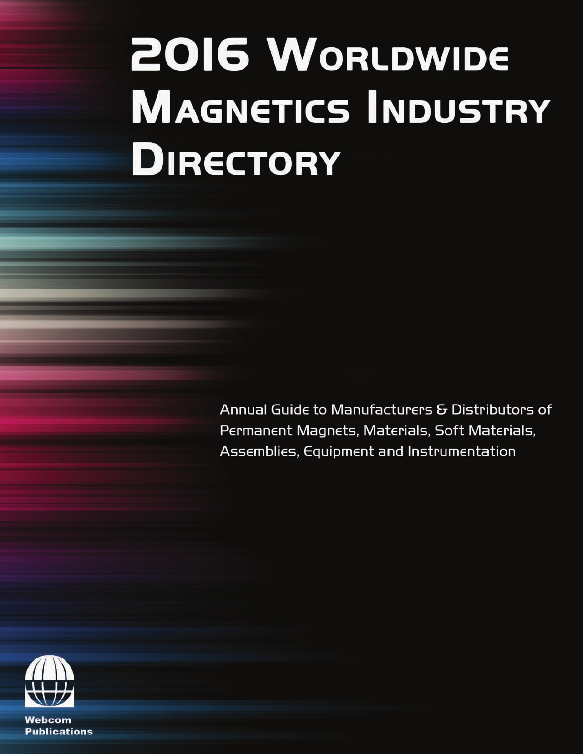# **2016 WORLDWIDE MAGNETICS INDUSTRY DIRECTORY**

Annual Guide to Manufacturers & Distributors of Permanent Magnets, Materials, Soft Materials, Assemblies, Equipment and Instrumentation



Webcom **Publications**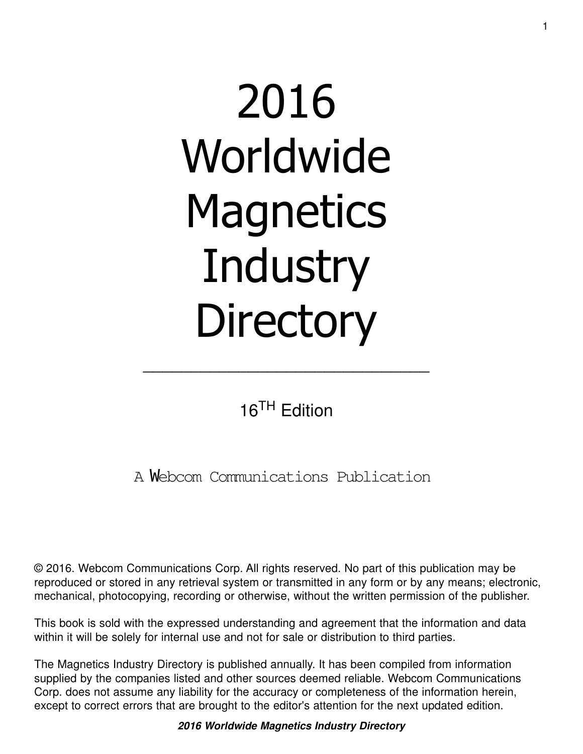# 2016 Worldwide **Magnetics Industry Directory**

16TH Edition

\_\_\_\_\_\_\_\_\_\_\_\_\_\_\_\_\_\_\_\_\_\_\_\_\_\_\_\_\_\_

A Webcom Communications Publication

© 2016. Webcom Communications Corp. All rights reserved. No part of this publication may be reproduced or stored in any retrieval system or transmitted in any form or by any means; electronic, mechanical, photocopying, recording or otherwise, without the written permission of the publisher.

This book is sold with the expressed understanding and agreement that the information and data within it will be solely for internal use and not for sale or distribution to third parties.

The Magnetics Industry Directory is published annually. It has been compiled from information supplied by the companies listed and other sources deemed reliable. Webcom Communications Corp. does not assume any liability for the accuracy or completeness of the information herein, except to correct errors that are brought to the editor's attention for the next updated edition.

**2016 Worldwide Magnetics Industry Directory**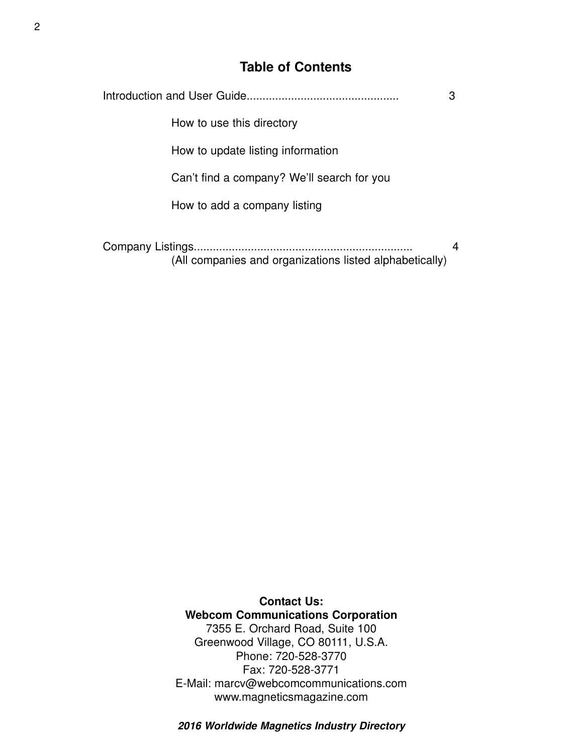# **Table of Contents**

| 3                                                       |   |
|---------------------------------------------------------|---|
| How to use this directory                               |   |
| How to update listing information                       |   |
| Can't find a company? We'll search for you              |   |
| How to add a company listing                            |   |
| (All companies and organizations listed alphabetically) | 4 |

**Contact Us: Webcom Communications Corporation** 7355 E. Orchard Road, Suite 100 Greenwood Village, CO 80111, U.S.A. Phone: 720-528-3770 Fax: 720-528-3771 E-Mail: marcv@webcomcommunications.com www.magneticsmagazine.com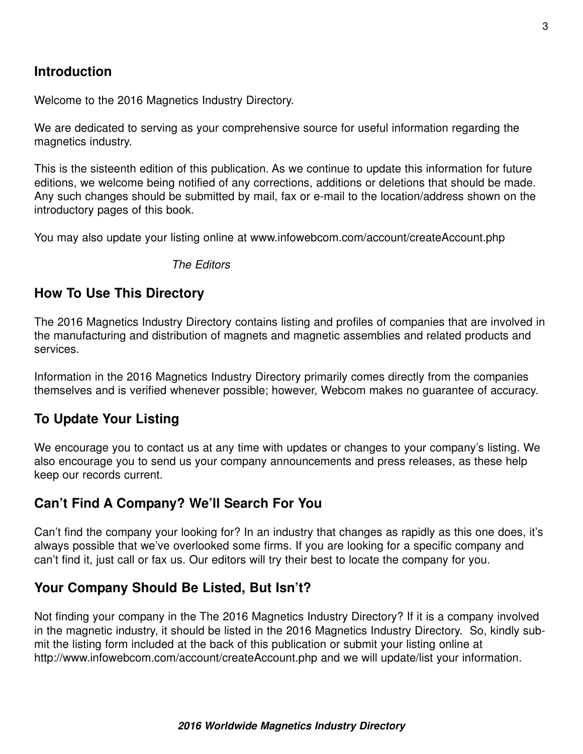# **Introduction**

Welcome to the 2016 Magnetics Industry Directory.

We are dedicated to serving as your comprehensive source for useful information regarding the magnetics industry.

This is the sisteenth edition of this publication. As we continue to update this information for future editions, we welcome being notified of any corrections, additions or deletions that should be made. Any such changes should be submitted by mail, fax or e-mail to the location/address shown on the introductory pages of this book.

You may also update your listing online at www.infowebcom.com/account/createAccount.php

The Editors

# **How To Use This Directory**

The 2016 Magnetics Industry Directory contains listing and profiles of companies that are involved in the manufacturing and distribution of magnets and magnetic assemblies and related products and services.

Information in the 2016 Magnetics Industry Directory primarily comes directly from the companies themselves and is verified whenever possible; however, Webcom makes no guarantee of accuracy.

### **To Update Your Listing**

We encourage you to contact us at any time with updates or changes to your company's listing. We also encourage you to send us your company announcements and press releases, as these help keep our records current.

# **Can't Find A Company? We'll Search For You**

Can't find the company your looking for? In an industry that changes as rapidly as this one does, it's always possible that we've overlooked some firms. If you are looking for a specific company and can't find it, just call or fax us. Our editors will try their best to locate the company for you.

# **Your Company Should Be Listed, But Isn't?**

Not finding your company in the The 2016 Magnetics Industry Directory? If it is a company involved in the magnetic industry, it should be listed in the 2016 Magnetics Industry Directory. So, kindly submit the listing form included at the back of this publication or submit your listing online at http://www.infowebcom.com/account/createAccount.php and we will update/list your information.

#### **2016 Worldwide Magnetics Industry Directory**